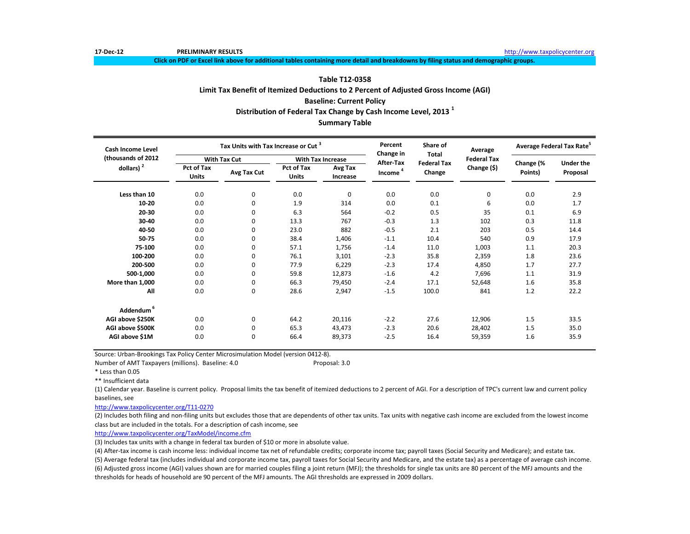**Click on PDF or Excel link above for additional tables containing more detail and breakdowns by filing status and demographic groups.**

# **Table T12-0358**

**Limit Tax Benefit of Itemized Deductions to 2 Percent of Adjusted Gross Income (AGI)**

**Baseline: Current Policy**

**Distribution of Federal Tax Change by Cash Income Level, 2013 <sup>1</sup>**

**Summary Table**

| <b>Cash Income Level</b> |                            | Tax Units with Tax Increase or Cut <sup>3</sup> |                            |                          | Percent<br>Change in | Share of<br><b>Total</b> | Average            | Average Federal Tax Rate <sup>5</sup> |                  |
|--------------------------|----------------------------|-------------------------------------------------|----------------------------|--------------------------|----------------------|--------------------------|--------------------|---------------------------------------|------------------|
| (thousands of 2012       |                            | <b>With Tax Cut</b>                             |                            | <b>With Tax Increase</b> | <b>After-Tax</b>     | <b>Federal Tax</b>       | <b>Federal Tax</b> |                                       | <b>Under the</b> |
| dollars) $2$             | Pct of Tax<br><b>Units</b> | Avg Tax Cut                                     | Pct of Tax<br><b>Units</b> | Avg Tax<br>Increase      | Income <sup>4</sup>  | Change                   | Change (\$)        | Change (%<br>Points)                  | Proposal         |
| Less than 10             | 0.0                        | $\mathbf 0$                                     | 0.0                        | $\mathbf 0$              | 0.0                  | 0.0                      | $\Omega$           | 0.0                                   | 2.9              |
| 10-20                    | 0.0                        | $\mathbf 0$                                     | 1.9                        | 314                      | 0.0                  | 0.1                      | 6                  | 0.0                                   | 1.7              |
| 20-30                    | 0.0                        | $\mathbf 0$                                     | 6.3                        | 564                      | $-0.2$               | 0.5                      | 35                 | 0.1                                   | 6.9              |
| 30-40                    | 0.0                        | 0                                               | 13.3                       | 767                      | $-0.3$               | 1.3                      | 102                | 0.3                                   | 11.8             |
| 40-50                    | 0.0                        | 0                                               | 23.0                       | 882                      | $-0.5$               | 2.1                      | 203                | 0.5                                   | 14.4             |
| 50-75                    | 0.0                        | $\Omega$                                        | 38.4                       | 1,406                    | $-1.1$               | 10.4                     | 540                | 0.9                                   | 17.9             |
| 75-100                   | 0.0                        | $\mathbf 0$                                     | 57.1                       | 1,756                    | $-1.4$               | 11.0                     | 1,003              | 1.1                                   | 20.3             |
| 100-200                  | 0.0                        | 0                                               | 76.1                       | 3,101                    | $-2.3$               | 35.8                     | 2,359              | 1.8                                   | 23.6             |
| 200-500                  | 0.0                        | 0                                               | 77.9                       | 6,229                    | $-2.3$               | 17.4                     | 4,850              | 1.7                                   | 27.7             |
| 500-1,000                | 0.0                        | 0                                               | 59.8                       | 12,873                   | $-1.6$               | 4.2                      | 7,696              | 1.1                                   | 31.9             |
| More than 1,000          | 0.0                        | 0                                               | 66.3                       | 79,450                   | $-2.4$               | 17.1                     | 52,648             | 1.6                                   | 35.8             |
| All                      | 0.0                        | $\mathbf 0$                                     | 28.6                       | 2,947                    | $-1.5$               | 100.0                    | 841                | 1.2                                   | 22.2             |
| Addendum <sup>6</sup>    |                            |                                                 |                            |                          |                      |                          |                    |                                       |                  |
| AGI above \$250K         | 0.0                        | $\mathbf 0$                                     | 64.2                       | 20,116                   | $-2.2$               | 27.6                     | 12,906             | 1.5                                   | 33.5             |
| AGI above \$500K         | 0.0                        | 0                                               | 65.3                       | 43,473                   | $-2.3$               | 20.6                     | 28,402             | 1.5                                   | 35.0             |
| AGI above \$1M           | 0.0                        | $\mathbf 0$                                     | 66.4                       | 89,373                   | $-2.5$               | 16.4                     | 59,359             | 1.6                                   | 35.9             |

Source: Urban-Brookings Tax Policy Center Microsimulation Model (version 0412-8).

Number of AMT Taxpayers (millions). Baseline: 4.0 Proposal: 3.0

\* Less than 0.05

\*\* Insufficient data

(1) Calendar year. Baseline is current policy. Proposal limits the tax benefit of itemized deductions to 2 percent of AGI. For a description of TPC's current law and current policy baselines, see

[http://www.taxpolicycente](http://www.taxpolicycenter.org/T11-0270)r.org/T11-0270

(2) Includes both filing and non-filing units but excludes those that are dependents of other tax units. Tax units with negative cash income are excluded from the lowest income class but are included in the totals. For a description of cash income, see

[http://www.taxpolicycente](http://www.taxpolicycenter.org/TaxModel/income.cfm)r.org/TaxModel/income.cfm

(3) Includes tax units with a change in federal tax burden of \$10 or more in absolute value.

(4) After-tax income is cash income less: individual income tax net of refundable credits; corporate income tax; payroll taxes (Social Security and Medicare); and estate tax.

(6) Adjusted gross income (AGI) values shown are for married couples filing a joint return (MFJ); the thresholds for single tax units are 80 percent of the MFJ amounts and the thresholds for heads of household are 90 percent of the MFJ amounts. The AGI thresholds are expressed in 2009 dollars. (5) Average federal tax (includes individual and corporate income tax, payroll taxes for Social Security and Medicare, and the estate tax) as a percentage of average cash income.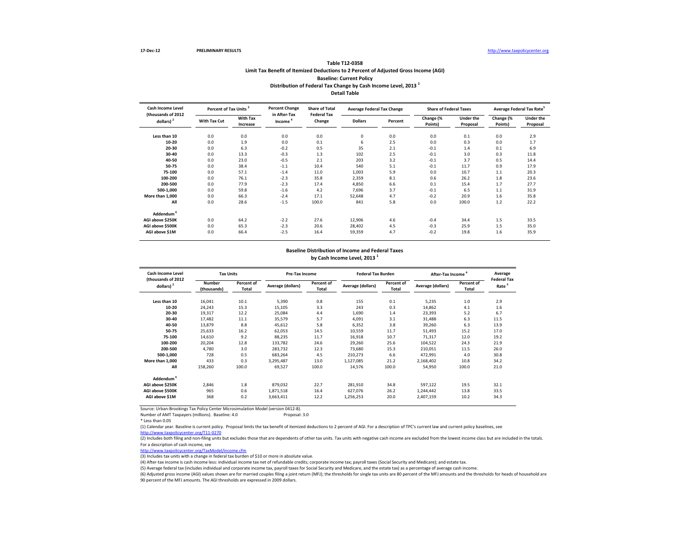#### **Table T12-0358 Limit Tax Benefit of Itemized Deductions to 2 Percent of Adjusted Gross Income (AGI) Baseline: Current Policy Distribution of Federal Tax Change by Cash Income Level, 2013 <sup>1</sup> Detail Table**

| <b>Cash Income Level</b><br>(thousands of 2012 | Percent of Tax Units <sup>3</sup> |                             | <b>Percent Change</b><br>in After-Tax | <b>Share of Total</b><br><b>Federal Tax</b> | <b>Average Federal Tax Change</b> |         | <b>Share of Federal Taxes</b> |                              | Average Federal Tax Rate <sup>5</sup> |                              |
|------------------------------------------------|-----------------------------------|-----------------------------|---------------------------------------|---------------------------------------------|-----------------------------------|---------|-------------------------------|------------------------------|---------------------------------------|------------------------------|
| dollars) $2$                                   | With Tax Cut                      | <b>With Tax</b><br>Increase | Income <sup>4</sup>                   | Change                                      | <b>Dollars</b>                    | Percent | Change (%<br>Points)          | <b>Under the</b><br>Proposal | Change (%<br>Points)                  | <b>Under the</b><br>Proposal |
| Less than 10                                   | 0.0                               | 0.0                         | 0.0                                   | 0.0                                         | 0                                 | 0.0     | 0.0                           | 0.1                          | 0.0                                   | 2.9                          |
| 10-20                                          | 0.0                               | 1.9                         | 0.0                                   | 0.1                                         | 6                                 | 2.5     | 0.0                           | 0.3                          | 0.0                                   | 1.7                          |
| 20-30                                          | 0.0                               | 6.3                         | $-0.2$                                | 0.5                                         | 35                                | 2.1     | $-0.1$                        | 1.4                          | 0.1                                   | 6.9                          |
| 30-40                                          | 0.0                               | 13.3                        | $-0.3$                                | 1.3                                         | 102                               | 2.5     | $-0.1$                        | 3.0                          | 0.3                                   | 11.8                         |
| 40-50                                          | 0.0                               | 23.0                        | $-0.5$                                | 2.1                                         | 203                               | 3.2     | $-0.1$                        | 3.7                          | 0.5                                   | 14.4                         |
| 50-75                                          | 0.0                               | 38.4                        | $-1.1$                                | 10.4                                        | 540                               | 5.1     | $-0.1$                        | 11.7                         | 0.9                                   | 17.9                         |
| 75-100                                         | 0.0                               | 57.1                        | $-1.4$                                | 11.0                                        | 1,003                             | 5.9     | 0.0                           | 10.7                         | 1.1                                   | 20.3                         |
| 100-200                                        | 0.0                               | 76.1                        | $-2.3$                                | 35.8                                        | 2,359                             | 8.1     | 0.6                           | 26.2                         | 1.8                                   | 23.6                         |
| 200-500                                        | 0.0                               | 77.9                        | $-2.3$                                | 17.4                                        | 4,850                             | 6.6     | 0.1                           | 15.4                         | 1.7                                   | 27.7                         |
| 500-1,000                                      | 0.0                               | 59.8                        | $-1.6$                                | 4.2                                         | 7,696                             | 3.7     | $-0.1$                        | 6.5                          | 1.1                                   | 31.9                         |
| More than 1,000                                | 0.0                               | 66.3                        | $-2.4$                                | 17.1                                        | 52,648                            | 4.7     | $-0.2$                        | 20.9                         | 1.6                                   | 35.8                         |
| All                                            | 0.0                               | 28.6                        | $-1.5$                                | 100.0                                       | 841                               | 5.8     | 0.0                           | 100.0                        | 1.2                                   | 22.2                         |
| Addendum <sup>6</sup>                          |                                   |                             |                                       |                                             |                                   |         |                               |                              |                                       |                              |
| AGI above \$250K                               | 0.0                               | 64.2                        | $-2.2$                                | 27.6                                        | 12,906                            | 4.6     | $-0.4$                        | 34.4                         | 1.5                                   | 33.5                         |
| AGI above \$500K                               | 0.0                               | 65.3                        | $-2.3$                                | 20.6                                        | 28,402                            | 4.5     | $-0.3$                        | 25.9                         | 1.5                                   | 35.0                         |
| AGI above \$1M                                 | 0.0                               | 66.4                        | $-2.5$                                | 16.4                                        | 59,359                            | 4.7     | $-0.2$                        | 19.8                         | 1.6                                   | 35.9                         |

#### **Baseline Distribution of Income and Federal Taxes by Cash Income Level, 2013 <sup>1</sup>**

| <b>Cash Income Level</b><br>(thousands of 2012 |                       | <b>Tax Units</b>    |                   | <b>Pre-Tax Income</b> |                   | <b>Federal Tax Burden</b> | After-Tax Income <sup>4</sup> |                     | Average                                 |
|------------------------------------------------|-----------------------|---------------------|-------------------|-----------------------|-------------------|---------------------------|-------------------------------|---------------------|-----------------------------------------|
| $d$ ollars) <sup>2</sup>                       | Number<br>(thousands) | Percent of<br>Total | Average (dollars) | Percent of<br>Total   | Average (dollars) | Percent of<br>Total       | Average (dollars)             | Percent of<br>Total | <b>Federal Tax</b><br>Rate <sup>5</sup> |
| Less than 10                                   | 16,041                | 10.1                | 5,390             | 0.8                   | 155               | 0.1                       | 5,235                         | 1.0                 | 2.9                                     |
| 10-20                                          | 24,243                | 15.3                | 15,105            | 3.3                   | 243               | 0.3                       | 14,862                        | 4.1                 | 1.6                                     |
| 20-30                                          | 19,317                | 12.2                | 25.084            | 4.4                   | 1,690             | 1.4                       | 23,393                        | 5.2                 | 6.7                                     |
| 30-40                                          | 17,482                | 11.1                | 35,579            | 5.7                   | 4,091             | 3.1                       | 31,488                        | 6.3                 | 11.5                                    |
| 40-50                                          | 13,879                | 8.8                 | 45,612            | 5.8                   | 6,352             | 3.8                       | 39,260                        | 6.3                 | 13.9                                    |
| 50-75                                          | 25,633                | 16.2                | 62,053            | 14.5                  | 10,559            | 11.7                      | 51,493                        | 15.2                | 17.0                                    |
| 75-100                                         | 14,610                | 9.2                 | 88,235            | 11.7                  | 16,918            | 10.7                      | 71,317                        | 12.0                | 19.2                                    |
| 100-200                                        | 20,204                | 12.8                | 133,782           | 24.6                  | 29,260            | 25.6                      | 104,522                       | 24.3                | 21.9                                    |
| 200-500                                        | 4.780                 | 3.0                 | 283.732           | 12.3                  | 73.680            | 15.3                      | 210.051                       | 11.5                | 26.0                                    |
| 500-1,000                                      | 728                   | 0.5                 | 683,264           | 4.5                   | 210,273           | 6.6                       | 472,991                       | 4.0                 | 30.8                                    |
| More than 1.000                                | 433                   | 0.3                 | 3,295,487         | 13.0                  | 1,127,085         | 21.2                      | 2,168,402                     | 10.8                | 34.2                                    |
| All                                            | 158,260               | 100.0               | 69,527            | 100.0                 | 14,576            | 100.0                     | 54,950                        | 100.0               | 21.0                                    |
| Addendum <sup>6</sup>                          |                       |                     |                   |                       |                   |                           |                               |                     |                                         |
| AGI above \$250K                               | 2.846                 | 1.8                 | 879,032           | 22.7                  | 281.910           | 34.8                      | 597,122                       | 19.5                | 32.1                                    |
| AGI above \$500K                               | 965                   | 0.6                 | 1,871,518         | 16.4                  | 627,076           | 26.2                      | 1,244,442                     | 13.8                | 33.5                                    |
| AGI above \$1M                                 | 368                   | 0.2                 | 3,663,411         | 12.2                  | 1,256,253         | 20.0                      | 2,407,159                     | 10.2                | 34.3                                    |

Source: Urban-Brookings Tax Policy Center Microsimulation Model (version 0412-8).

Number of AMT Taxpayers (millions). Baseline: 4.0

\* Less than 0.05

(1) Calendar year. Baseline is current policy. Proposal limits the tax benefit of itemized deductions to 2 percent of AGI. For a description of TPC's current law and current policy baselines, see

[http://www.taxpolicycente](http://www.taxpolicycenter.org/T11-0270)r.org/T11-0270

(2) Includes both filing and non-filing units but excludes those that are dependents of other tax units. Tax units with negative cash income are excluded from the lowest income class but are included in the totals. For a description of cash income, see

[http://www.taxpolicycente](http://www.taxpolicycenter.org/TaxModel/income.cfm)r.org/TaxModel/income.cfm

(3) Includes tax units with a change in federal tax burden of \$10 or more in absolute value.

(4) After-tax income is cash income less: individual income tax net of refundable credits; corporate income tax; payroll taxes (Social Security and Medicare); and estate tax.

(5) Average federal tax (includes individual and corporate income tax, payroll taxes for Social Security and Medicare, and the estate tax) as a percentage of average cash income.

(6) Adjusted gross income (AGI) values shown are for married couples filing a joint return (MFJ); the thresholds for single tax units are 80 percent of the MFJ amounts and the thresholds for heads of household are 90 percent of the MFJ amounts. The AGI thresholds are expressed in 2009 dollars.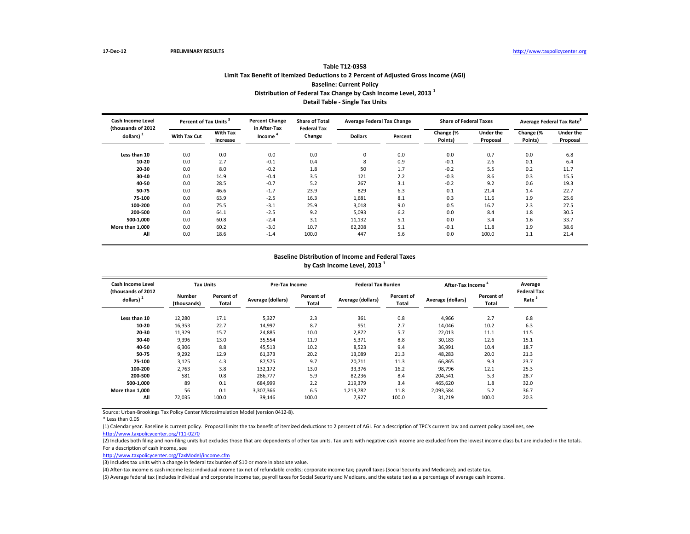# **Table T12-0358 Limit Tax Benefit of Itemized Deductions to 2 Percent of Adjusted Gross Income (AGI) Baseline: Current Policy Distribution of Federal Tax Change by Cash Income Level, 2013 <sup>1</sup> Detail Table - Single Tax Units**

| <b>Cash Income Level</b><br>(thousands of 2012) |                     | Percent of Tax Units <sup>3</sup> |                                     | <b>Share of Total</b><br><b>Federal Tax</b> | <b>Average Federal Tax Change</b> |         | <b>Share of Federal Taxes</b> |                              | Average Federal Tax Rate |                              |
|-------------------------------------------------|---------------------|-----------------------------------|-------------------------------------|---------------------------------------------|-----------------------------------|---------|-------------------------------|------------------------------|--------------------------|------------------------------|
| dollars) $2$                                    | <b>With Tax Cut</b> | <b>With Tax</b><br>Increase       | in After-Tax<br>Income <sup>4</sup> | Change                                      | <b>Dollars</b>                    | Percent | Change (%<br>Points)          | <b>Under the</b><br>Proposal | Change (%<br>Points)     | <b>Under the</b><br>Proposal |
| Less than 10                                    | 0.0                 | 0.0                               | 0.0                                 | 0.0                                         | 0                                 | 0.0     | 0.0                           | 0.7                          | 0.0                      | 6.8                          |
| $10 - 20$                                       | 0.0                 | 2.7                               | $-0.1$                              | 0.4                                         | 8                                 | 0.9     | $-0.1$                        | 2.6                          | 0.1                      | 6.4                          |
| 20-30                                           | 0.0                 | 8.0                               | $-0.2$                              | 1.8                                         | 50                                | 1.7     | $-0.2$                        | 5.5                          | 0.2                      | 11.7                         |
| 30-40                                           | 0.0                 | 14.9                              | $-0.4$                              | 3.5                                         | 121                               | 2.2     | $-0.3$                        | 8.6                          | 0.3                      | 15.5                         |
| 40-50                                           | 0.0                 | 28.5                              | $-0.7$                              | 5.2                                         | 267                               | 3.1     | $-0.2$                        | 9.2                          | 0.6                      | 19.3                         |
| 50-75                                           | 0.0                 | 46.6                              | $-1.7$                              | 23.9                                        | 829                               | 6.3     | 0.1                           | 21.4                         | 1.4                      | 22.7                         |
| 75-100                                          | 0.0                 | 63.9                              | $-2.5$                              | 16.3                                        | 1,681                             | 8.1     | 0.3                           | 11.6                         | 1.9                      | 25.6                         |
| 100-200                                         | 0.0                 | 75.5                              | $-3.1$                              | 25.9                                        | 3,018                             | 9.0     | 0.5                           | 16.7                         | 2.3                      | 27.5                         |
| 200-500                                         | 0.0                 | 64.1                              | $-2.5$                              | 9.2                                         | 5,093                             | 6.2     | 0.0                           | 8.4                          | 1.8                      | 30.5                         |
| 500-1,000                                       | 0.0                 | 60.8                              | $-2.4$                              | 3.1                                         | 11,132                            | 5.1     | 0.0                           | 3.4                          | 1.6                      | 33.7                         |
| More than 1.000                                 | 0.0                 | 60.2                              | $-3.0$                              | 10.7                                        | 62,208                            | 5.1     | $-0.1$                        | 11.8                         | 1.9                      | 38.6                         |
| All                                             | 0.0                 | 18.6                              | $-1.4$                              | 100.0                                       | 447                               | 5.6     | 0.0                           | 100.0                        | 1.1                      | 21.4                         |

### **Baseline Distribution of Income and Federal Taxes by Cash Income Level, 2013 <sup>1</sup>**

| Cash Income Level<br>(thousands of 2012) | <b>Tax Units</b>             |                     | Pre-Tax Income    |                     | <b>Federal Tax Burden</b> |                     | After-Tax Income  |                            | Average<br><b>Federal Tax</b> |
|------------------------------------------|------------------------------|---------------------|-------------------|---------------------|---------------------------|---------------------|-------------------|----------------------------|-------------------------------|
| dollars) $2$                             | <b>Number</b><br>(thousands) | Percent of<br>Total | Average (dollars) | Percent of<br>Total | Average (dollars)         | Percent of<br>Total | Average (dollars) | <b>Percent of</b><br>Total | Rate <sup>5</sup>             |
| Less than 10                             | 12,280                       | 17.1                | 5,327             | 2.3                 | 361                       | 0.8                 | 4.966             | 2.7                        | 6.8                           |
| 10-20                                    | 16,353                       | 22.7                | 14,997            | 8.7                 | 951                       | 2.7                 | 14.046            | 10.2                       | 6.3                           |
| 20-30                                    | 11,329                       | 15.7                | 24.885            | 10.0                | 2,872                     | 5.7                 | 22,013            | 11.1                       | 11.5                          |
| 30-40                                    | 9,396                        | 13.0                | 35,554            | 11.9                | 5,371                     | 8.8                 | 30,183            | 12.6                       | 15.1                          |
| 40-50                                    | 6,306                        | 8.8                 | 45,513            | 10.2                | 8,523                     | 9.4                 | 36,991            | 10.4                       | 18.7                          |
| 50-75                                    | 9,292                        | 12.9                | 61,373            | 20.2                | 13,089                    | 21.3                | 48,283            | 20.0                       | 21.3                          |
| 75-100                                   | 3,125                        | 4.3                 | 87,575            | 9.7                 | 20,711                    | 11.3                | 66,865            | 9.3                        | 23.7                          |
| 100-200                                  | 2,763                        | 3.8                 | 132,172           | 13.0                | 33.376                    | 16.2                | 98.796            | 12.1                       | 25.3                          |
| 200-500                                  | 581                          | 0.8                 | 286,777           | 5.9                 | 82,236                    | 8.4                 | 204,541           | 5.3                        | 28.7                          |
| 500-1.000                                | 89                           | 0.1                 | 684,999           | 2.2                 | 219,379                   | 3.4                 | 465,620           | 1.8                        | 32.0                          |
| More than 1.000                          | 56                           | 0.1                 | 3.307.366         | 6.5                 | 1,213,782                 | 11.8                | 2,093,584         | 5.2                        | 36.7                          |
| All                                      | 72,035                       | 100.0               | 39,146            | 100.0               | 7,927                     | 100.0               | 31,219            | 100.0                      | 20.3                          |

Source: Urban-Brookings Tax Policy Center Microsimulation Model (version 0412-8).

\* Less than 0.05

(1) Calendar year. Baseline is current policy. Proposal limits the tax benefit of itemized deductions to 2 percent of AGI. For a description of TPC's current law and current policy baselines, see [http://www.taxpolicycente](http://www.taxpolicycenter.org/T11-0270)r.org/T11-0270

(2) Includes both filing and non-filing units but excludes those that are dependents of other tax units. Tax units with negative cash income are excluded from the lowest income class but are included in the totals. For a description of cash income, see

[http://www.taxpolicycente](http://www.taxpolicycenter.org/TaxModel/income.cfm)r.org/TaxModel/income.cfm

(3) Includes tax units with a change in federal tax burden of \$10 or more in absolute value.

(4) After-tax income is cash income less: individual income tax net of refundable credits; corporate income tax; payroll taxes (Social Security and Medicare); and estate tax.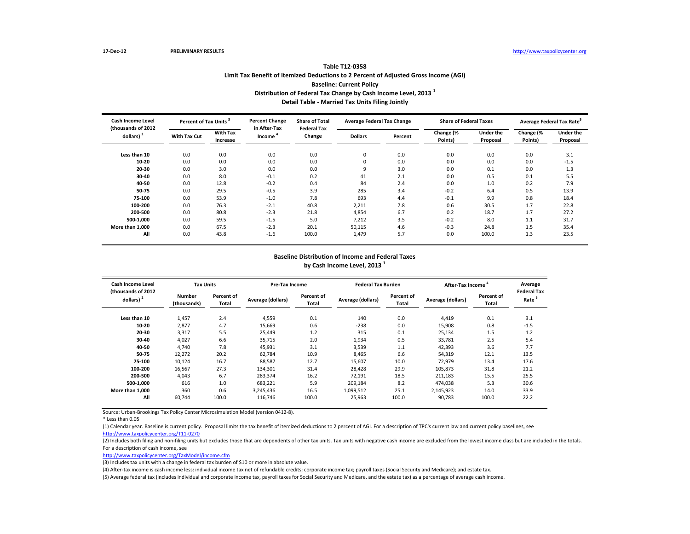# **Table T12-0358 Limit Tax Benefit of Itemized Deductions to 2 Percent of Adjusted Gross Income (AGI) Baseline: Current Policy Distribution of Federal Tax Change by Cash Income Level, 2013 <sup>1</sup> Detail Table - Married Tax Units Filing Jointly**

| <b>Cash Income Level</b><br>(thousands of 2012 | Percent of Tax Units |                             | <b>Percent Change</b><br>in After-Tax | <b>Share of Total</b><br><b>Federal Tax</b> | <b>Average Federal Tax Change</b> |         | <b>Share of Federal Taxes</b> |                              | Average Federal Tax Rate <sup>5</sup> |                              |
|------------------------------------------------|----------------------|-----------------------------|---------------------------------------|---------------------------------------------|-----------------------------------|---------|-------------------------------|------------------------------|---------------------------------------|------------------------------|
| dollars) <sup>2</sup>                          | <b>With Tax Cut</b>  | <b>With Tax</b><br>Increase | Income <sup>4</sup>                   | Change                                      | <b>Dollars</b>                    | Percent | Change (%<br>Points)          | <b>Under the</b><br>Proposal | Change (%<br>Points)                  | <b>Under the</b><br>Proposal |
| Less than 10                                   | 0.0                  | 0.0                         | 0.0                                   | 0.0                                         | 0                                 | 0.0     | 0.0                           | 0.0                          | 0.0                                   | 3.1                          |
| 10-20                                          | 0.0                  | 0.0                         | 0.0                                   | 0.0                                         | 0                                 | 0.0     | 0.0                           | 0.0                          | 0.0                                   | $-1.5$                       |
| 20-30                                          | 0.0                  | 3.0                         | 0.0                                   | 0.0                                         | 9                                 | 3.0     | 0.0                           | 0.1                          | 0.0                                   | 1.3                          |
| 30-40                                          | 0.0                  | 8.0                         | $-0.1$                                | 0.2                                         | 41                                | 2.1     | 0.0                           | 0.5                          | 0.1                                   | 5.5                          |
| 40-50                                          | 0.0                  | 12.8                        | $-0.2$                                | 0.4                                         | 84                                | 2.4     | 0.0                           | 1.0                          | 0.2                                   | 7.9                          |
| 50-75                                          | 0.0                  | 29.5                        | $-0.5$                                | 3.9                                         | 285                               | 3.4     | $-0.2$                        | 6.4                          | 0.5                                   | 13.9                         |
| 75-100                                         | 0.0                  | 53.9                        | $-1.0$                                | 7.8                                         | 693                               | 4.4     | $-0.1$                        | 9.9                          | 0.8                                   | 18.4                         |
| 100-200                                        | 0.0                  | 76.3                        | $-2.1$                                | 40.8                                        | 2,211                             | 7.8     | 0.6                           | 30.5                         | 1.7                                   | 22.8                         |
| 200-500                                        | 0.0                  | 80.8                        | $-2.3$                                | 21.8                                        | 4,854                             | 6.7     | 0.2                           | 18.7                         | 1.7                                   | 27.2                         |
| 500-1.000                                      | 0.0                  | 59.5                        | $-1.5$                                | 5.0                                         | 7,212                             | 3.5     | $-0.2$                        | 8.0                          | 1.1                                   | 31.7                         |
| More than 1.000                                | 0.0                  | 67.5                        | $-2.3$                                | 20.1                                        | 50,115                            | 4.6     | $-0.3$                        | 24.8                         | 1.5                                   | 35.4                         |
| All                                            | 0.0                  | 43.8                        | $-1.6$                                | 100.0                                       | 1,479                             | 5.7     | 0.0                           | 100.0                        | 1.3                                   | 23.5                         |

#### **Baseline Distribution of Income and Federal Taxes by Cash Income Level, 2013 <sup>1</sup>**

| Cash Income Level<br>(thousands of 2012) | <b>Tax Units</b>             |                     | Pre-Tax Income    |                     | <b>Federal Tax Burden</b> |                     | After-Tax Income  | Average<br><b>Federal Tax</b> |                   |
|------------------------------------------|------------------------------|---------------------|-------------------|---------------------|---------------------------|---------------------|-------------------|-------------------------------|-------------------|
| dollars) $2$                             | <b>Number</b><br>(thousands) | Percent of<br>Total | Average (dollars) | Percent of<br>Total | Average (dollars)         | Percent of<br>Total | Average (dollars) | Percent of<br>Total           | Rate <sup>5</sup> |
| Less than 10                             | 1,457                        | 2.4                 | 4,559             | 0.1                 | 140                       | 0.0                 | 4.419             | 0.1                           | 3.1               |
| 10-20                                    | 2,877                        | 4.7                 | 15,669            | 0.6                 | $-238$                    | 0.0                 | 15,908            | 0.8                           | $-1.5$            |
| 20-30                                    | 3,317                        | 5.5                 | 25,449            | 1.2                 | 315                       | 0.1                 | 25,134            | 1.5                           | 1.2               |
| 30-40                                    | 4,027                        | 6.6                 | 35,715            | 2.0                 | 1,934                     | 0.5                 | 33,781            | 2.5                           | 5.4               |
| 40-50                                    | 4,740                        | 7.8                 | 45,931            | 3.1                 | 3,539                     | 1.1                 | 42,393            | 3.6                           | 7.7               |
| 50-75                                    | 12,272                       | 20.2                | 62,784            | 10.9                | 8,465                     | 6.6                 | 54,319            | 12.1                          | 13.5              |
| 75-100                                   | 10,124                       | 16.7                | 88,587            | 12.7                | 15,607                    | 10.0                | 72,979            | 13.4                          | 17.6              |
| 100-200                                  | 16,567                       | 27.3                | 134,301           | 31.4                | 28.428                    | 29.9                | 105.873           | 31.8                          | 21.2              |
| 200-500                                  | 4,043                        | 6.7                 | 283,374           | 16.2                | 72,191                    | 18.5                | 211,183           | 15.5                          | 25.5              |
| 500-1.000                                | 616                          | 1.0                 | 683,221           | 5.9                 | 209,184                   | 8.2                 | 474,038           | 5.3                           | 30.6              |
| More than 1.000                          | 360                          | 0.6                 | 3,245,436         | 16.5                | 1,099,512                 | 25.1                | 2,145,923         | 14.0                          | 33.9              |
| All                                      | 60,744                       | 100.0               | 116,746           | 100.0               | 25,963                    | 100.0               | 90,783            | 100.0                         | 22.2              |

Source: Urban-Brookings Tax Policy Center Microsimulation Model (version 0412-8).

\* Less than 0.05

(1) Calendar year. Baseline is current policy. Proposal limits the tax benefit of itemized deductions to 2 percent of AGI. For a description of TPC's current law and current policy baselines, see [http://www.taxpolicycente](http://www.taxpolicycenter.org/T11-0270)r.org/T11-0270

(2) Includes both filing and non-filing units but excludes those that are dependents of other tax units. Tax units with negative cash income are excluded from the lowest income class but are included in the totals. For a description of cash income, see

[http://www.taxpolicycente](http://www.taxpolicycenter.org/TaxModel/income.cfm)r.org/TaxModel/income.cfm

(3) Includes tax units with a change in federal tax burden of \$10 or more in absolute value.

(4) After-tax income is cash income less: individual income tax net of refundable credits; corporate income tax; payroll taxes (Social Security and Medicare); and estate tax.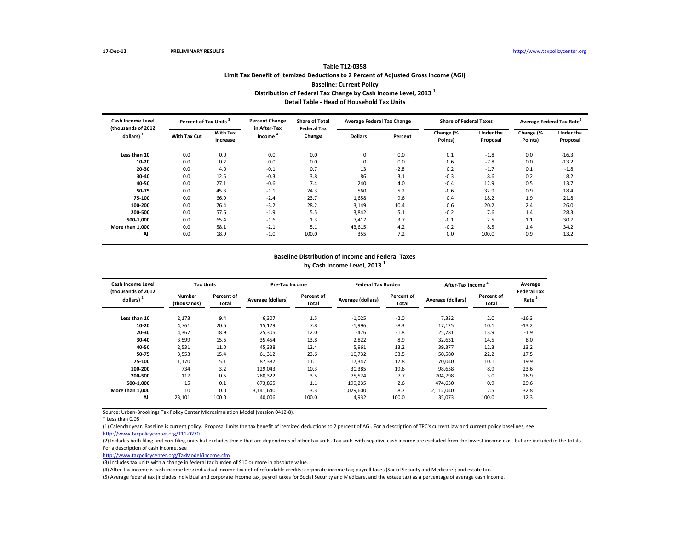# **Table T12-0358 Limit Tax Benefit of Itemized Deductions to 2 Percent of Adjusted Gross Income (AGI) Baseline: Current Policy Distribution of Federal Tax Change by Cash Income Level, 2013 <sup>1</sup> Detail Table - Head of Household Tax Units**

| <b>Cash Income Level</b><br>(thousands of 2012 | Percent of Tax Units <sup>3</sup> |                             | <b>Percent Change</b><br>in After-Tax | <b>Share of Total</b><br><b>Federal Tax</b> | <b>Average Federal Tax Change</b> |         | <b>Share of Federal Taxes</b> |                       | Average Federal Tax Rate <sup>5</sup> |                              |
|------------------------------------------------|-----------------------------------|-----------------------------|---------------------------------------|---------------------------------------------|-----------------------------------|---------|-------------------------------|-----------------------|---------------------------------------|------------------------------|
| dollars) <sup>2</sup>                          | <b>With Tax Cut</b>               | <b>With Tax</b><br>Increase | Income <sup>4</sup>                   | Change                                      | <b>Dollars</b>                    | Percent | Change (%<br>Points)          | Under the<br>Proposal | Change (%<br>Points)                  | <b>Under the</b><br>Proposal |
| Less than 10                                   | 0.0                               | 0.0                         | 0.0                                   | 0.0                                         | 0                                 | 0.0     | 0.1                           | $-1.8$                | 0.0                                   | $-16.3$                      |
| 10-20                                          | 0.0                               | 0.2                         | 0.0                                   | 0.0                                         | $\mathbf 0$                       | 0.0     | 0.6                           | $-7.8$                | 0.0                                   | $-13.2$                      |
| 20-30                                          | 0.0                               | 4.0                         | $-0.1$                                | 0.7                                         | 13                                | $-2.8$  | 0.2                           | $-1.7$                | 0.1                                   | $-1.8$                       |
| 30-40                                          | 0.0                               | 12.5                        | $-0.3$                                | 3.8                                         | 86                                | 3.1     | $-0.3$                        | 8.6                   | 0.2                                   | 8.2                          |
| 40-50                                          | 0.0                               | 27.1                        | $-0.6$                                | 7.4                                         | 240                               | 4.0     | $-0.4$                        | 12.9                  | 0.5                                   | 13.7                         |
| 50-75                                          | 0.0                               | 45.3                        | $-1.1$                                | 24.3                                        | 560                               | 5.2     | $-0.6$                        | 32.9                  | 0.9                                   | 18.4                         |
| 75-100                                         | 0.0                               | 66.9                        | $-2.4$                                | 23.7                                        | 1,658                             | 9.6     | 0.4                           | 18.2                  | 1.9                                   | 21.8                         |
| 100-200                                        | 0.0                               | 76.4                        | $-3.2$                                | 28.2                                        | 3,149                             | 10.4    | 0.6                           | 20.2                  | 2.4                                   | 26.0                         |
| 200-500                                        | 0.0                               | 57.6                        | $-1.9$                                | 5.5                                         | 3,842                             | 5.1     | $-0.2$                        | 7.6                   | 1.4                                   | 28.3                         |
| 500-1.000                                      | 0.0                               | 65.4                        | $-1.6$                                | 1.3                                         | 7,417                             | 3.7     | $-0.1$                        | 2.5                   | 1.1                                   | 30.7                         |
| More than 1,000                                | 0.0                               | 58.1                        | $-2.1$                                | 5.1                                         | 43,615                            | 4.2     | $-0.2$                        | 8.5                   | 1.4                                   | 34.2                         |
| All                                            | 0.0                               | 18.9                        | $-1.0$                                | 100.0                                       | 355                               | 7.2     | 0.0                           | 100.0                 | 0.9                                   | 13.2                         |

#### **Baseline Distribution of Income and Federal Taxes by Cash Income Level, 2013 <sup>1</sup>**

| Cash Income Level<br>(thousands of 2012) | <b>Tax Units</b>             |                     | <b>Pre-Tax Income</b> |                     | <b>Federal Tax Burden</b> |                     | After-Tax Income  |                     | Average<br><b>Federal Tax</b> |
|------------------------------------------|------------------------------|---------------------|-----------------------|---------------------|---------------------------|---------------------|-------------------|---------------------|-------------------------------|
| dollars) $2$                             | <b>Number</b><br>(thousands) | Percent of<br>Total | Average (dollars)     | Percent of<br>Total | Average (dollars)         | Percent of<br>Total | Average (dollars) | Percent of<br>Total | Rate <sup>5</sup>             |
| Less than 10                             | 2,173                        | 9.4                 | 6,307                 | 1.5                 | $-1,025$                  | $-2.0$              | 7,332             | 2.0                 | $-16.3$                       |
| 10-20                                    | 4,761                        | 20.6                | 15,129                | 7.8                 | $-1,996$                  | $-8.3$              | 17.125            | 10.1                | $-13.2$                       |
| 20-30                                    | 4,367                        | 18.9                | 25,305                | 12.0                | $-476$                    | $-1.8$              | 25,781            | 13.9                | $-1.9$                        |
| 30-40                                    | 3,599                        | 15.6                | 35,454                | 13.8                | 2,822                     | 8.9                 | 32,631            | 14.5                | 8.0                           |
| 40-50                                    | 2,531                        | 11.0                | 45,338                | 12.4                | 5,961                     | 13.2                | 39,377            | 12.3                | 13.2                          |
| 50-75                                    | 3,553                        | 15.4                | 61,312                | 23.6                | 10,732                    | 33.5                | 50,580            | 22.2                | 17.5                          |
| 75-100                                   | 1,170                        | 5.1                 | 87,387                | 11.1                | 17,347                    | 17.8                | 70.040            | 10.1                | 19.9                          |
| 100-200                                  | 734                          | 3.2                 | 129,043               | 10.3                | 30,385                    | 19.6                | 98,658            | 8.9                 | 23.6                          |
| 200-500                                  | 117                          | 0.5                 | 280.322               | 3.5                 | 75.524                    | 7.7                 | 204.798           | 3.0                 | 26.9                          |
| 500-1.000                                | 15                           | 0.1                 | 673.865               | 1.1                 | 199.235                   | 2.6                 | 474.630           | 0.9                 | 29.6                          |
| More than 1.000                          | 10                           | 0.0                 | 3.141.640             | 3.3                 | 1,029,600                 | 8.7                 | 2,112,040         | 2.5                 | 32.8                          |
| All                                      | 23,101                       | 100.0               | 40,006                | 100.0               | 4,932                     | 100.0               | 35,073            | 100.0               | 12.3                          |

Source: Urban-Brookings Tax Policy Center Microsimulation Model (version 0412-8).

\* Less than 0.05

(1) Calendar year. Baseline is current policy. Proposal limits the tax benefit of itemized deductions to 2 percent of AGI. For a description of TPC's current law and current policy baselines, see [http://www.taxpolicycente](http://www.taxpolicycenter.org/T11-0270)r.org/T11-0270

(2) Includes both filing and non-filing units but excludes those that are dependents of other tax units. Tax units with negative cash income are excluded from the lowest income class but are included in the totals. For a description of cash income, see

[http://www.taxpolicycente](http://www.taxpolicycenter.org/TaxModel/income.cfm)r.org/TaxModel/income.cfm

(3) Includes tax units with a change in federal tax burden of \$10 or more in absolute value.

(4) After-tax income is cash income less: individual income tax net of refundable credits; corporate income tax; payroll taxes (Social Security and Medicare); and estate tax.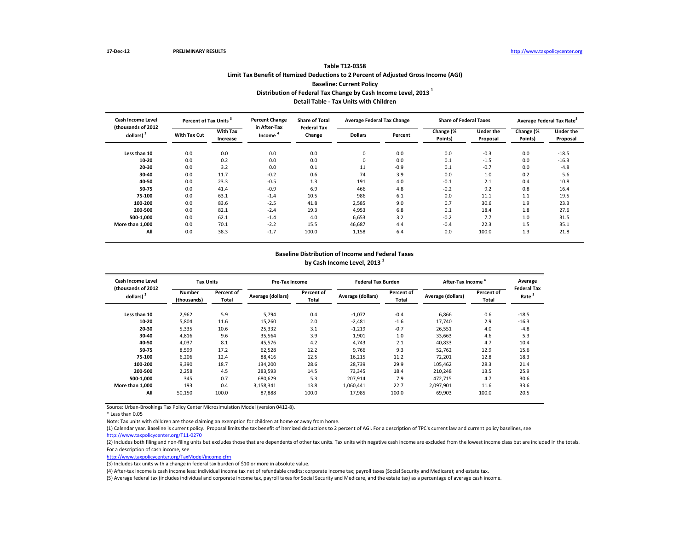### **Table T12-0358 Limit Tax Benefit of Itemized Deductions to 2 Percent of Adjusted Gross Income (AGI) Baseline: Current Policy Distribution of Federal Tax Change by Cash Income Level, 2013 <sup>1</sup> Detail Table - Tax Units with Children**

| <b>Cash Income Level</b><br>(thousands of 2012 | Percent of Tax Units |                             | <b>Percent Change</b><br>in After-Tax | <b>Share of Total</b><br><b>Federal Tax</b> | <b>Average Federal Tax Change</b> |         | <b>Share of Federal Taxes</b> |                              | Average Federal Tax Rate <sup>3</sup> |                              |
|------------------------------------------------|----------------------|-----------------------------|---------------------------------------|---------------------------------------------|-----------------------------------|---------|-------------------------------|------------------------------|---------------------------------------|------------------------------|
| dollars) <sup>2</sup>                          | <b>With Tax Cut</b>  | <b>With Tax</b><br>Increase | Income                                | Change                                      | <b>Dollars</b>                    | Percent | Change (%<br>Points)          | <b>Under the</b><br>Proposal | Change (%<br>Points)                  | <b>Under the</b><br>Proposal |
| Less than 10                                   | 0.0                  | 0.0                         | 0.0                                   | 0.0                                         | 0                                 | 0.0     | 0.0                           | $-0.3$                       | 0.0                                   | $-18.5$                      |
| 10-20                                          | 0.0                  | 0.2                         | 0.0                                   | 0.0                                         | 0                                 | 0.0     | 0.1                           | $-1.5$                       | 0.0                                   | $-16.3$                      |
| 20-30                                          | 0.0                  | 3.2                         | 0.0                                   | 0.1                                         | 11                                | $-0.9$  | 0.1                           | $-0.7$                       | 0.0                                   | $-4.8$                       |
| 30-40                                          | 0.0                  | 11.7                        | $-0.2$                                | 0.6                                         | 74                                | 3.9     | 0.0                           | 1.0                          | 0.2                                   | 5.6                          |
| 40-50                                          | 0.0                  | 23.3                        | $-0.5$                                | 1.3                                         | 191                               | 4.0     | $-0.1$                        | 2.1                          | 0.4                                   | 10.8                         |
| 50-75                                          | 0.0                  | 41.4                        | $-0.9$                                | 6.9                                         | 466                               | 4.8     | $-0.2$                        | 9.2                          | 0.8                                   | 16.4                         |
| 75-100                                         | 0.0                  | 63.1                        | $-1.4$                                | 10.5                                        | 986                               | 6.1     | 0.0                           | 11.1                         | 1.1                                   | 19.5                         |
| 100-200                                        | 0.0                  | 83.6                        | $-2.5$                                | 41.8                                        | 2,585                             | 9.0     | 0.7                           | 30.6                         | 1.9                                   | 23.3                         |
| 200-500                                        | 0.0                  | 82.1                        | $-2.4$                                | 19.3                                        | 4,953                             | 6.8     | 0.1                           | 18.4                         | 1.8                                   | 27.6                         |
| 500-1.000                                      | 0.0                  | 62.1                        | $-1.4$                                | 4.0                                         | 6,653                             | 3.2     | $-0.2$                        | 7.7                          | 1.0                                   | 31.5                         |
| More than 1,000                                | 0.0                  | 70.1                        | $-2.2$                                | 15.5                                        | 46,687                            | 4.4     | $-0.4$                        | 22.3                         | 1.5                                   | 35.1                         |
| All                                            | 0.0                  | 38.3                        | $-1.7$                                | 100.0                                       | 1,158                             | 6.4     | 0.0                           | 100.0                        | 1.3                                   | 21.8                         |

#### **Baseline Distribution of Income and Federal Taxes by Cash Income Level, 2013 <sup>1</sup>**

| <b>Cash Income Level</b>           | <b>Tax Units</b>             |                     | Pre-Tax Income    |                     | <b>Federal Tax Burden</b> |                            | After-Tax Income  |                     | Average                                 |
|------------------------------------|------------------------------|---------------------|-------------------|---------------------|---------------------------|----------------------------|-------------------|---------------------|-----------------------------------------|
| (thousands of 2012<br>dollars) $2$ | <b>Number</b><br>(thousands) | Percent of<br>Total | Average (dollars) | Percent of<br>Total | Average (dollars)         | Percent of<br><b>Total</b> | Average (dollars) | Percent of<br>Total | <b>Federal Tax</b><br>Rate <sup>5</sup> |
| Less than 10                       | 2,962                        | 5.9                 | 5,794             | 0.4                 | $-1,072$                  | $-0.4$                     | 6,866             | 0.6                 | $-18.5$                                 |
| 10-20                              | 5,804                        | 11.6                | 15,260            | 2.0                 | $-2,481$                  | $-1.6$                     | 17,740            | 2.9                 | $-16.3$                                 |
| 20-30                              | 5,335                        | 10.6                | 25,332            | 3.1                 | $-1,219$                  | $-0.7$                     | 26,551            | 4.0                 | $-4.8$                                  |
| 30-40                              | 4,816                        | 9.6                 | 35,564            | 3.9                 | 1,901                     | 1.0                        | 33,663            | 4.6                 | 5.3                                     |
| 40-50                              | 4,037                        | 8.1                 | 45,576            | 4.2                 | 4,743                     | 2.1                        | 40,833            | 4.7                 | 10.4                                    |
| 50-75                              | 8,599                        | 17.2                | 62,528            | 12.2                | 9,766                     | 9.3                        | 52,762            | 12.9                | 15.6                                    |
| 75-100                             | 6.206                        | 12.4                | 88.416            | 12.5                | 16,215                    | 11.2                       | 72,201            | 12.8                | 18.3                                    |
| 100-200                            | 9.390                        | 18.7                | 134.200           | 28.6                | 28.739                    | 29.9                       | 105,462           | 28.3                | 21.4                                    |
| 200-500                            | 2,258                        | 4.5                 | 283.593           | 14.5                | 73,345                    | 18.4                       | 210,248           | 13.5                | 25.9                                    |
| 500-1.000                          | 345                          | 0.7                 | 680,629           | 5.3                 | 207,914                   | 7.9                        | 472,715           | 4.7                 | 30.6                                    |
| More than 1.000                    | 193                          | 0.4                 | 3,158,341         | 13.8                | 1,060,441                 | 22.7                       | 2,097,901         | 11.6                | 33.6                                    |
| All                                | 50,150                       | 100.0               | 87,888            | 100.0               | 17,985                    | 100.0                      | 69,903            | 100.0               | 20.5                                    |

Source: Urban-Brookings Tax Policy Center Microsimulation Model (version 0412-8).

\* Less than 0.05

Note: Tax units with children are those claiming an exemption for children at home or away from home.

(1) Calendar year. Baseline is current policy. Proposal limits the tax benefit of itemized deductions to 2 percent of AGI. For a description of TPC's current law and current policy baselines, see

[http://www.taxpolicycente](http://www.taxpolicycenter.org/T11-0270)r.org/T11-0270

(2) Includes both filing and non-filing units but excludes those that are dependents of other tax units. Tax units with negative cash income are excluded from the lowest income class but are included in the totals. For a description of cash income, see

[http://www.taxpolicycente](http://www.taxpolicycenter.org/TaxModel/income.cfm)r.org/TaxModel/income.cfm

(3) Includes tax units with a change in federal tax burden of \$10 or more in absolute value.

(4) After-tax income is cash income less: individual income tax net of refundable credits; corporate income tax; payroll taxes (Social Security and Medicare); and estate tax.